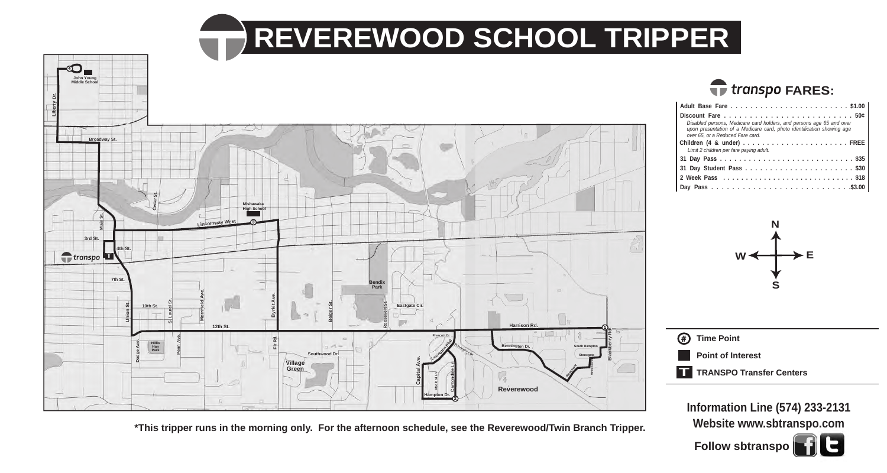## **REVEREWOOD SCHOOL TRIPPER**



**Website www.sbtranspo.com**

**Follow sbtranspo**

**\*This tripper runs in the morning only. For the afternoon schedule, see the Reverewood/Twin Branch Tripper.**